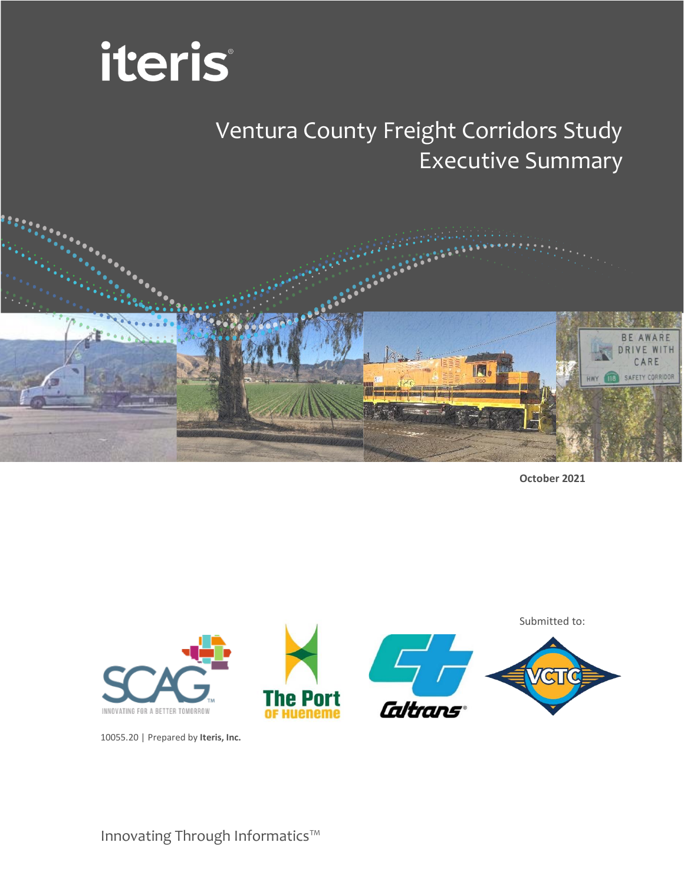

# Ventura County Freight Corridors Study Executive Summary



**October 2021**



10055.20 | Prepared by **Iteris, Inc.**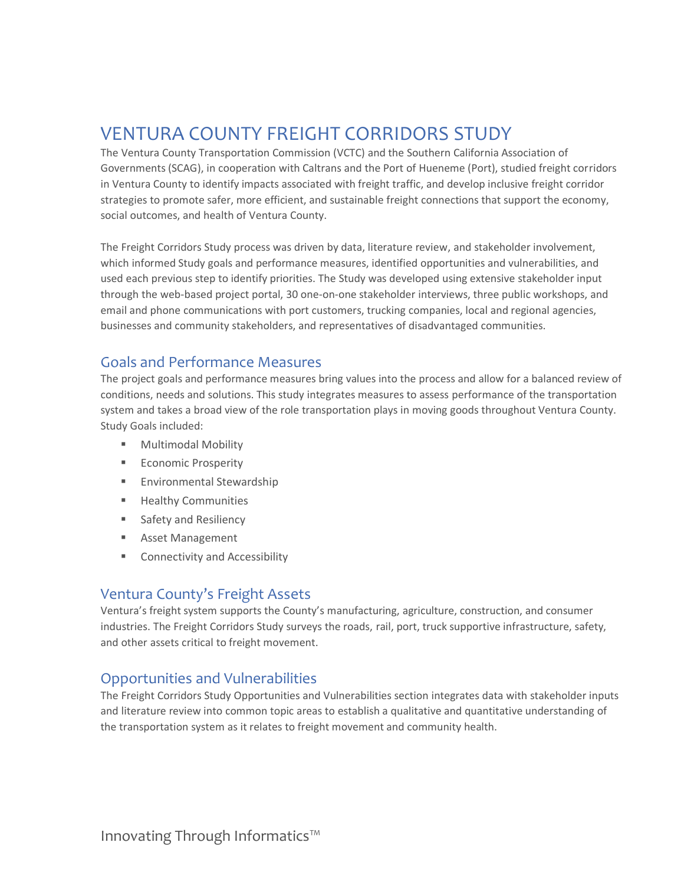# VENTURA COUNTY FREIGHT CORRIDORS STUDY

The Ventura County Transportation Commission (VCTC) and the Southern California Association of Governments (SCAG), in cooperation with Caltrans and the Port of Hueneme (Port), studied freight corridors in Ventura County to identify impacts associated with freight traffic, and develop inclusive freight corridor strategies to promote safer, more efficient, and sustainable freight connections that support the economy, social outcomes, and health of Ventura County.

The Freight Corridors Study process was driven by data, literature review, and stakeholder involvement, which informed Study goals and performance measures, identified opportunities and vulnerabilities, and used each previous step to identify priorities. The Study was developed using extensive stakeholder input through the web-based project portal, 30 one-on-one stakeholder interviews, three public workshops, and email and phone communications with port customers, trucking companies, local and regional agencies, businesses and community stakeholders, and representatives of disadvantaged communities.

### Goals and Performance Measures

The project goals and performance measures bring values into the process and allow for a balanced review of conditions, needs and solutions. This study integrates measures to assess performance of the transportation system and takes a broad view of the role transportation plays in moving goods throughout Ventura County. Study Goals included:

- Multimodal Mobility
- **Economic Prosperity**
- Environmental Stewardship
- Healthy Communities
- Safety and Resiliency
- Asset Management
- Connectivity and Accessibility

#### Ventura County's Freight Assets

Ventura's freight system supports the County's manufacturing, agriculture, construction, and consumer industries. The Freight Corridors Study surveys the roads, rail, port, truck supportive infrastructure, safety, and other assets critical to freight movement.

### Opportunities and Vulnerabilities

The Freight Corridors Study Opportunities and Vulnerabilities section integrates data with stakeholder inputs and literature review into common topic areas to establish a qualitative and quantitative understanding of the transportation system as it relates to freight movement and community health.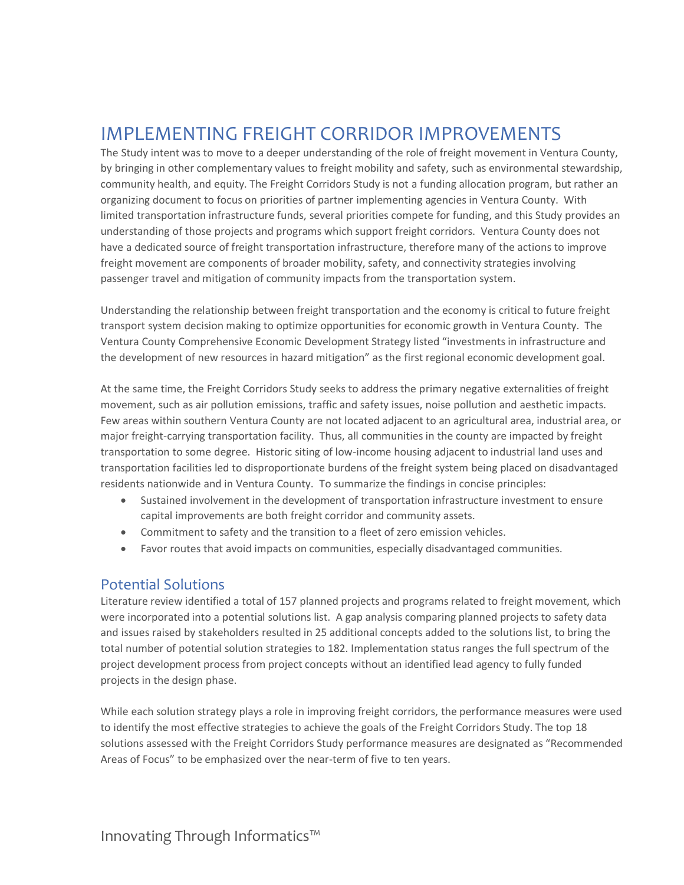## IMPLEMENTING FREIGHT CORRIDOR IMPROVEMENTS

The Study intent was to move to a deeper understanding of the role of freight movement in Ventura County, by bringing in other complementary values to freight mobility and safety, such as environmental stewardship, community health, and equity. The Freight Corridors Study is not a funding allocation program, but rather an organizing document to focus on priorities of partner implementing agencies in Ventura County. With limited transportation infrastructure funds, several priorities compete for funding, and this Study provides an understanding of those projects and programs which support freight corridors. Ventura County does not have a dedicated source of freight transportation infrastructure, therefore many of the actions to improve freight movement are components of broader mobility, safety, and connectivity strategies involving passenger travel and mitigation of community impacts from the transportation system.

Understanding the relationship between freight transportation and the economy is critical to future freight transport system decision making to optimize opportunities for economic growth in Ventura County. The Ventura County Comprehensive Economic Development Strategy listed "investments in infrastructure and the development of new resources in hazard mitigation" as the first regional economic development goal.

At the same time, the Freight Corridors Study seeks to address the primary negative externalities of freight movement, such as air pollution emissions, traffic and safety issues, noise pollution and aesthetic impacts. Few areas within southern Ventura County are not located adjacent to an agricultural area, industrial area, or major freight-carrying transportation facility. Thus, all communities in the county are impacted by freight transportation to some degree. Historic siting of low-income housing adjacent to industrial land uses and transportation facilities led to disproportionate burdens of the freight system being placed on disadvantaged residents nationwide and in Ventura County. To summarize the findings in concise principles:

- Sustained involvement in the development of transportation infrastructure investment to ensure capital improvements are both freight corridor and community assets.
- Commitment to safety and the transition to a fleet of zero emission vehicles.
- Favor routes that avoid impacts on communities, especially disadvantaged communities.

### Potential Solutions

Literature review identified a total of 157 planned projects and programs related to freight movement, which were incorporated into a potential solutions list. A gap analysis comparing planned projects to safety data and issues raised by stakeholders resulted in 25 additional concepts added to the solutions list, to bring the total number of potential solution strategies to 182. Implementation status ranges the full spectrum of the project development process from project concepts without an identified lead agency to fully funded projects in the design phase.

While each solution strategy plays a role in improving freight corridors, the performance measures were used to identify the most effective strategies to achieve the goals of the Freight Corridors Study. The top 18 solutions assessed with the Freight Corridors Study performance measures are designated as "Recommended Areas of Focus" to be emphasized over the near-term of five to ten years.